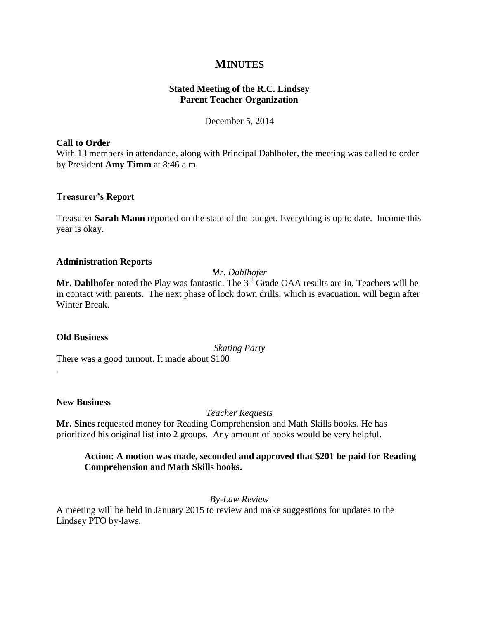# **MINUTES**

# **Stated Meeting of the R.C. Lindsey Parent Teacher Organization**

December 5, 2014

### **Call to Order**

With 13 members in attendance, along with Principal Dahlhofer, the meeting was called to order by President **Amy Timm** at 8:46 a.m.

# **Treasurer's Report**

Treasurer **Sarah Mann** reported on the state of the budget. Everything is up to date. Income this year is okay.

### **Administration Reports**

*Mr. Dahlhofer*

Mr. Dahlhofer noted the Play was fantastic. The 3<sup>rd</sup> Grade OAA results are in, Teachers will be in contact with parents. The next phase of lock down drills, which is evacuation, will begin after Winter Break.

# **Old Business**

.

*Skating Party* There was a good turnout. It made about \$100

### **New Business**

*Teacher Requests*

**Mr. Sines** requested money for Reading Comprehension and Math Skills books. He has prioritized his original list into 2 groups. Any amount of books would be very helpful.

# **Action: A motion was made, seconded and approved that \$201 be paid for Reading Comprehension and Math Skills books.**

*By-Law Review*

A meeting will be held in January 2015 to review and make suggestions for updates to the Lindsey PTO by-laws.